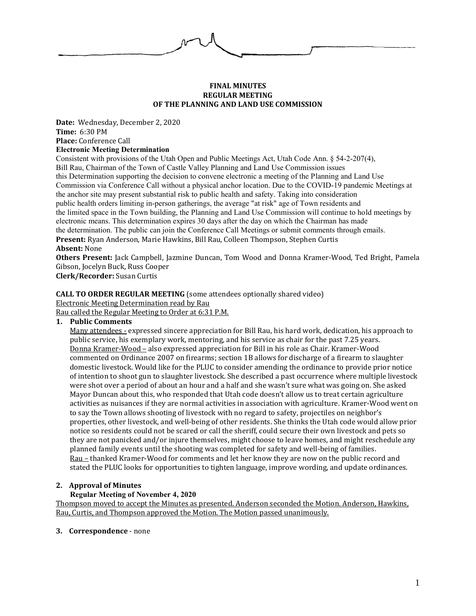#### **FINAL MINUTES REGULAR MEETING OF THE PLANNING AND LAND USE COMMISSION**

**Date:** Wednesday, December 2, 2020 **Time:** 6:30 PM **Place:** Conference Call

### **Electronic Meeting Determination**

Consistent with provisions of the Utah Open and Public Meetings Act, Utah Code Ann. § 54-2-207(4), Bill Rau, Chairman of the Town of Castle Valley Planning and Land Use Commission issues this Determination supporting the decision to convene electronic a meeting of the Planning and Land Use Commission via Conference Call without a physical anchor location. Due to the COVID-19 pandemic Meetings at the anchor site may present substantial risk to public health and safety. Taking into consideration public health orders limiting in-person gatherings, the average "at risk" age of Town residents and the limited space in the Town building, the Planning and Land Use Commission will continue to hold meetings by electronic means. This determination expires 30 days after the day on which the Chairman has made the determination. The public can join the Conference Call Meetings or submit comments through emails. **Present:** Ryan Anderson, Marie Hawkins, Bill Rau, Colleen Thompson, Stephen Curtis **Absent:** None

**Others Present:** Jack Campbell, Jazmine Duncan, Tom Wood and Donna Kramer-Wood, Ted Bright, Pamela Gibson, Jocelyn Buck, Russ Cooper

**Clerk/Recorder:** Susan Curtis

#### **CALL TO ORDER REGULAR MEETING** (some attendees optionally shared video)

Electronic Meeting Determination read by Rau

Rau called the Regular Meeting to Order at 6:31 P.M.

#### **1. Public Comments**

Many attendees - expressed sincere appreciation for Bill Rau, his hard work, dedication, his approach to public service, his exemplary work, mentoring, and his service as chair for the past 7.25 years. Donna Kramer-Wood – also expressed appreciation for Bill in his role as Chair. Kramer-Wood commented on Ordinance 2007 on firearms; section 1B allows for discharge of a firearm to slaughter domestic livestock. Would like for the PLUC to consider amending the ordinance to provide prior notice of intention to shoot gun to slaughter livestock. She described a past occurrence where multiple livestock were shot over a period of about an hour and a half and she wasn't sure what was going on. She asked Mayor Duncan about this, who responded that Utah code doesn't allow us to treat certain agriculture activities as nuisances if they are normal activities in association with agriculture. Kramer-Wood went on to say the Town allows shooting of livestock with no regard to safety, projectiles on neighbor's properties, other livestock, and well-being of other residents. She thinks the Utah code would allow prior notice so residents could not be scared or call the sheriff, could secure their own livestock and pets so they are not panicked and/or injure themselves, might choose to leave homes, and might reschedule any planned family events until the shooting was completed for safety and well-being of families. Rau – thanked Kramer-Wood for comments and let her know they are now on the public record and stated the PLUC looks for opportunities to tighten language, improve wording, and update ordinances.

#### **2. Approval of Minutes**

#### **Regular Meeting of November 4, 2020**

Thompson moved to accept the Minutes as presented. Anderson seconded the Motion. Anderson, Hawkins, Rau, Curtis, and Thompson approved the Motion. The Motion passed unanimously.

**3. Correspondence** - none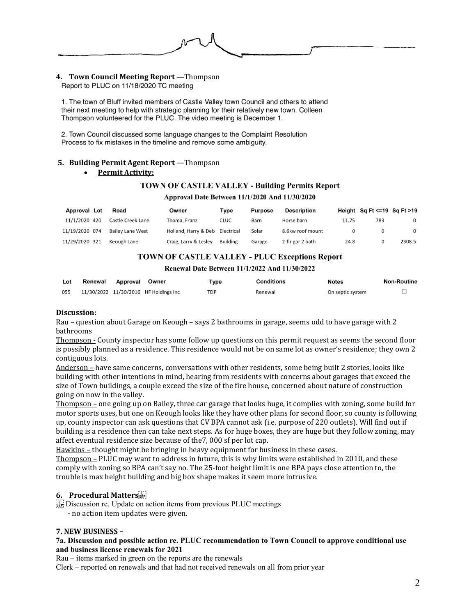# **4. Town Council Meeting Report** —Thompson

1. The town of Bluff invited members of Castle Valley town Council and others to attend their next meeting to help with strategic planning for their relatively new town. Colleen Thompson volunteered for the PLUC. The video meeting is December 1.

2. Town Council discussed some language changes to the Complaint Resolution Process to fix mistakes in the timeline and remove some ambiguity.

#### **5. Building Permit Agent Report** —Thompson

#### **Permit Activity:**

#### **TOWN OF CASTLE VALLEY - Building Permits Report**

#### Approval Date Between 11/1/2020 And 11/30/2020

| Approval Lot   | Road                    | Owner                 | Type            | <b>Purpose</b> | Description      |       | Height Sq Ft $\leq$ =19 Sq Ft >19 |              |
|----------------|-------------------------|-----------------------|-----------------|----------------|------------------|-------|-----------------------------------|--------------|
| 11/1/2020 420  | Castle Creek Lane       | Thoma, Franz          | <b>CLUC</b>     | Barn           | Horse barn       | 11.75 | 783                               | $\mathbf{0}$ |
| 11/19/2020 074 | <b>Bailey Lane West</b> | Holland, Harry & Deb  | Electrical      | Solar          | 8.6kw roof mount |       |                                   |              |
| 11/29/2020 321 | Keough Lane             | Craig, Larry & Lesley | <b>Building</b> | Garage         | 2-fir gar 2 bath | 24.8  |                                   | 2308.5       |

#### **TOWN OF CASTLE VALLEY - PLUC Exceptions Report**

Renewal Date Between 11/1/2022 And 11/30/2022

| Lot | Renewal | Approval | Owner                                 | Type       | Conditions | <b>Notes</b>     | <b>Non-Routine</b> |
|-----|---------|----------|---------------------------------------|------------|------------|------------------|--------------------|
| 055 |         |          | 11/30/2022 11/30/2016 HF Holdings Inc | <b>TDP</b> | Renewal    | On septic system |                    |

#### **Discussion:**

Rau – question about Garage on Keough – says 2 bathrooms in garage, seems odd to have garage with 2 bathrooms

Thompson - County inspector has some follow up questions on this permit request as seems the second floor is possibly planned as a residence. This residence would not be on same lot as owner's residence; they own 2 contiguous lots.

Anderson – have same concerns, conversations with other residents, some being built 2 stories, looks like building with other intentions in mind, hearing from residents with concerns about garages that exceed the size of Town buildings, a couple exceed the size of the fire house, concerned about nature of construction going on now in the valley.

Thompson – one going up on Bailey, three car garage that looks huge, it complies with zoning, some build for motor sports uses, but one on Keough looks like they have other plans for second floor, so county is following up, county inspector can ask questions that CV BPA cannot ask (i.e. purpose of 220 outlets). Will find out if building is a residence then can take next steps. As for huge boxes, they are huge but they follow zoning, may affect eventual residence size because of the7, 000 sf per lot cap.

Hawkins – thought might be bringing in heavy equipment for business in these cases.

Thompson – PLUC may want to address in future, this is why limits were established in 2010, and these comply with zoning so BPA can't say no. The 25-foot height limit is one BPA pays close attention to, the trouble is max height building and big box shape makes it seem more intrusive.

#### **6. Procedural Matters**

**EFT** Discussion re. Update on action items from previous PLUC meetings

- no action item updates were given.

#### **7. NEW BUSINESS –**

#### **7a. Discussion and possible action re. PLUC recommendation to Town Council to approve conditional use and business license renewals for 2021**

Rau – items marked in green on the reports are the renewals

Clerk – reported on renewals and that had not received renewals on all from prior year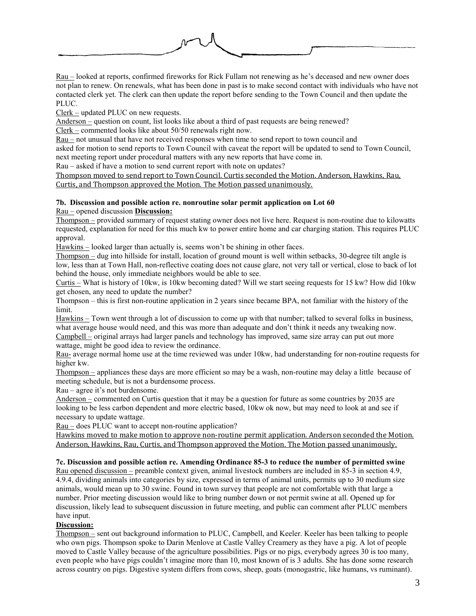

Rau – looked at reports, confirmed fireworks for Rick Fullam not renewing as he's deceased and new owner does not plan to renew. On renewals, what has been done in past is to make second contact with individuals who have not contacted clerk yet. The clerk can then update the report before sending to the Town Council and then update the PLUC.

Clerk – updated PLUC on new requests.

Anderson – question on count, list looks like about a third of past requests are being renewed?

Clerk – commented looks like about 50/50 renewals right now.

Rau – not unusual that have not received responses when time to send report to town council and

asked for motion to send reports to Town Council with caveat the report will be updated to send to Town Council,

next meeting report under procedural matters with any new reports that have come in.

Rau – asked if have a motion to send current report with note on updates?

Thompson moved to send report to Town Council. Curtis seconded the Motion. Anderson, Hawkins, Rau, Curtis, and Thompson approved the Motion. The Motion passed unanimously.

#### **7b. Discussion and possible action re. nonroutine solar permit application on Lot 60** Rau – opened discussion **Discussion:**

Thompson – provided summary of request stating owner does not live here. Request is non-routine due to kilowatts requested, explanation for need for this much kw to power entire home and car charging station. This requires PLUC approval.

Hawkins – looked larger than actually is, seems won't be shining in other faces.

Thompson – dug into hillside for install, location of ground mount is well within setbacks, 30-degree tilt angle is low, less than at Town Hall, non-reflective coating does not cause glare, not very tall or vertical, close to back of lot behind the house, only immediate neighbors would be able to see.

Curtis – What is history of 10kw, is 10kw becoming dated? Will we start seeing requests for 15 kw? How did 10kw get chosen, any need to update the number?

Thompson – this is first non-routine application in 2 years since became BPA, not familiar with the history of the limit.

Hawkins – Town went through a lot of discussion to come up with that number; talked to several folks in business, what average house would need, and this was more than adequate and don't think it needs any tweaking now. Campbell – original arrays had larger panels and technology has improved, same size array can put out more wattage, might be good idea to review the ordinance.

Rau- average normal home use at the time reviewed was under 10kw, had understanding for non-routine requests for higher kw.

Thompson – appliances these days are more efficient so may be a wash, non-routine may delay a little because of meeting schedule, but is not a burdensome process.

Rau – agree it's not burdensome.

Anderson – commented on Curtis question that it may be a question for future as some countries by 2035 are looking to be less carbon dependent and more electric based, 10kw ok now, but may need to look at and see if necessary to update wattage.

Rau – does PLUC want to accept non-routine application?

Hawkins moved to make motion to approve non-routine permit application. Anderson seconded the Motion. Anderson, Hawkins, Rau, Curtis, and Thompson approved the Motion. The Motion passed unanimously.

#### **7c. Discussion and possible action re. Amending Ordinance 85-3 to reduce the number of permitted swine**

Rau opened discussion – preamble context given, animal livestock numbers are included in 85-3 in section 4.9, 4.9.4, dividing animals into categories by size, expressed in terms of animal units, permits up to 30 medium size animals, would mean up to 30 swine. Found in town survey that people are not comfortable with that large a number. Prior meeting discussion would like to bring number down or not permit swine at all. Opened up for discussion, likely lead to subsequent discussion in future meeting, and public can comment after PLUC members have input.

#### **Discussion:**

Thompson – sent out background information to PLUC, Campbell, and Keeler. Keeler has been talking to people who own pigs. Thompson spoke to Darin Menlove at Castle Valley Creamery as they have a pig. A lot of people moved to Castle Valley because of the agriculture possibilities. Pigs or no pigs, everybody agrees 30 is too many, even people who have pigs couldn't imagine more than 10, most known of is 3 adults. She has done some research across country on pigs. Digestive system differs from cows, sheep, goats (monogastric, like humans, vs ruminant).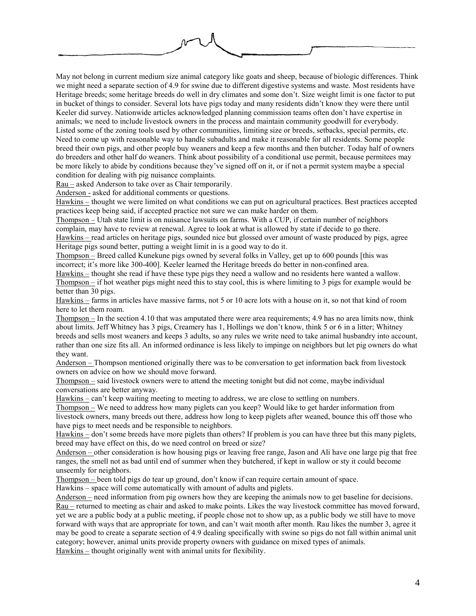

May not belong in current medium size animal category like goats and sheep, because of biologic differences. Think we might need a separate section of 4.9 for swine due to different digestive systems and waste. Most residents have Heritage breeds; some heritage breeds do well in dry climates and some don't. Size weight limit is one factor to put in bucket of things to consider. Several lots have pigs today and many residents didn't know they were there until Keeler did survey. Nationwide articles acknowledged planning commission teams often don't have expertise in animals; we need to include livestock owners in the process and maintain community goodwill for everybody. Listed some of the zoning tools used by other communities, limiting size or breeds, setbacks, special permits, etc. Need to come up with reasonable way to handle subadults and make it reasonable for all residents. Some people breed their own pigs, and other people buy weaners and keep a few months and then butcher. Today half of owners do breeders and other half do weaners. Think about possibility of a conditional use permit, because permitees may be more likely to abide by conditions because they've signed off on it, or if not a permit system maybe a special condition for dealing with pig nuisance complaints.

Rau – asked Anderson to take over as Chair temporarily.

Anderson - asked for additional comments or questions.

Hawkins – thought we were limited on what conditions we can put on agricultural practices. Best practices accepted practices keep being said, if accepted practice not sure we can make harder on them.

Thompson – Utah state limit is on nuisance lawsuits on farms. With a CUP, if certain number of neighbors complain, may have to review at renewal. Agree to look at what is allowed by state if decide to go there.

Hawkins – read articles on heritage pigs, sounded nice but glossed over amount of waste produced by pigs, agree Heritage pigs sound better, putting a weight limit in is a good way to do it.

Thompson – Breed called Kunekune pigs owned by several folks in Valley, get up to 600 pounds [this was incorrect; it's more like 300-400]. Keeler learned the Heritage breeds do better in non-confined area.

Hawkins – thought she read if have these type pigs they need a wallow and no residents here wanted a wallow. Thompson – if hot weather pigs might need this to stay cool, this is where limiting to 3 pigs for example would be better than 30 pigs.

Hawkins – farms in articles have massive farms, not 5 or 10 acre lots with a house on it, so not that kind of room here to let them roam.

Thompson – In the section 4.10 that was amputated there were area requirements; 4.9 has no area limits now, think about limits. Jeff Whitney has 3 pigs, Creamery has 1, Hollings we don't know, think 5 or 6 in a litter; Whitney breeds and sells most weaners and keeps 3 adults, so any rules we write need to take animal husbandry into account, rather than one size fits all. An informed ordinance is less likely to impinge on neighbors but let pig owners do what they want.

Anderson – Thompson mentioned originally there was to be conversation to get information back from livestock owners on advice on how we should move forward.

Thompson – said livestock owners were to attend the meeting tonight but did not come, maybe individual conversations are better anyway.

Hawkins – can't keep waiting meeting to meeting to address, we are close to settling on numbers.

Thompson – We need to address how many piglets can you keep? Would like to get harder information from livestock owners, many breeds out there, address how long to keep piglets after weaned, bounce this off those who have pigs to meet needs and be responsible to neighbors.

Hawkins – don't some breeds have more piglets than others? If problem is you can have three but this many piglets, breed may have effect on this, do we need control on breed or size?

Anderson – other consideration is how housing pigs or leaving free range, Jason and Ali have one large pig that free ranges, the smell not as bad until end of summer when they butchered, if kept in wallow or sty it could become unseemly for neighbors.

Thompson – been told pigs do tear up ground, don't know if can require certain amount of space.

Hawkins – space will come automatically with amount of adults and piglets.

Anderson – need information from pig owners how they are keeping the animals now to get baseline for decisions. Rau – returned to meeting as chair and asked to make points. Likes the way livestock committee has moved forward, yet we are a public body at a public meeting, if people chose not to show up, as a public body we still have to move forward with ways that are appropriate for town, and can't wait month after month. Rau likes the number 3, agree it may be good to create a separate section of 4.9 dealing specifically with swine so pigs do not fall within animal unit category; however, animal units provide property owners with guidance on mixed types of animals. Hawkins – thought originally went with animal units for flexibility.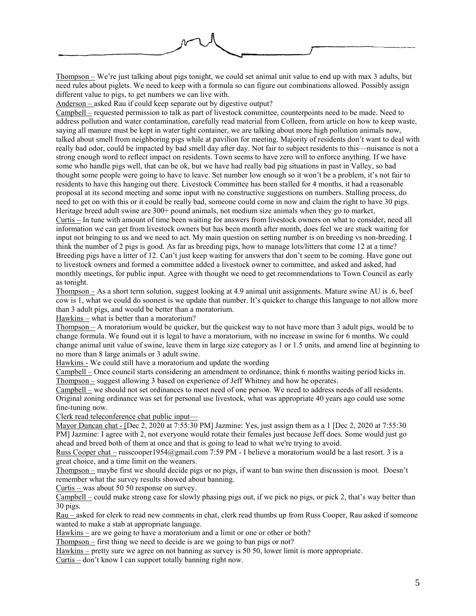

Thompson – We're just talking about pigs tonight, we could set animal unit value to end up with max 3 adults, but need rules about piglets. We need to keep with a formula so can figure out combinations allowed. Possibly assign different value to pigs, to get numbers we can live with.

Anderson – asked Rau if could keep separate out by digestive output?

Campbell – requested permission to talk as part of livestock committee, counterpoints need to be made. Need to address pollution and water contamination, carefully read material from Colleen, from article on how to keep waste, saying all manure must be kept in water tight container, we are talking about more high pollution animals now, talked about smell from neighboring pigs while at pavilion for meeting. Majority of residents don't want to deal with really bad odor, could be impacted by bad smell day after day. Not fair to subject residents to this—nuisance is not a strong enough word to reflect impact on residents. Town seems to have zero will to enforce anything. If we have some who handle pigs well, that can be ok, but we have had really bad pig situations in past in Valley, so bad thought some people were going to have to leave. Set number low enough so it won't be a problem, it's not fair to residents to have this hanging out there. Livestock Committee has been stalled for 4 months, it had a reasonable proposal at its second meeting and some input with no constructive suggestions on numbers. Stalling process, do need to get on with this or it could be really bad, someone could come in now and claim the right to have 30 pigs. Heritage breed adult swine are 300+ pound animals, not medium size animals when they go to market.

Curtis – In tune with amount of time been waiting for answers from livestock owners on what to consider, need all information we can get from livestock owners but has been month after month, does feel we are stuck waiting for input not bringing to us and we need to act. My main question on setting number is on breeding vs non-breeding. I think the number of 2 pigs is good. As far as breeding pigs, how to manage lots/litters that come 12 at a time? Breeding pigs have a litter of 12. Can't just keep waiting for answers that don't seem to be coming. Have gone out to livestock owners and formed a committee added a livestock owner to committee, and asked and asked, had monthly meetings, for public input. Agree with thought we need to get recommendations to Town Council as early as tonight.

Thompson – As a short term solution, suggest looking at 4.9 animal unit assignments. Mature swine AU is .6, beef cow is 1, what we could do soonest is we update that number. It's quicker to change this language to not allow more than 3 adult pigs, and would be better than a moratorium.

Hawkins – what is better than a moratorium?

Thompson – A moratorium would be quicker, but the quickest way to not have more than 3 adult pigs, would be to change formula. We found out it is legal to have a moratorium, with no increase in swine for 6 months. We could change animal unit value of swine, leave them in large size category as 1 or 1.5 units, and amend line at beginning to no more than 8 large animals or 3 adult swine.

Hawkins - We could still have a moratorium and update the wording

Campbell – Once council starts considering an amendment to ordinance, think 6 months waiting period kicks in. Thompson – suggest allowing 3 based on experience of Jeff Whitney and how he operates.

Campbell – we should not set ordinances to meet need of one person. We need to address needs of all residents. Original zoning ordinance was set for personal use livestock, what was appropriate 40 years ago could use some fine-tuning now.

Clerk read teleconference chat public input—

Mayor Duncan chat - [Dec 2, 2020 at 7:55:30 PM] Jazmine: Yes, just assign them as a 1 [Dec 2, 2020 at 7:55:30 PM] Jazmine: I agree with 2, not everyone would rotate their females just because Jeff does. Some would just go ahead and breed both of them at once and that is going to lead to what we're trying to avoid.

Russ Cooper chat – russcooper1954@gmail.com 7:59 PM - I believe a moratorium would be a last resort. 3 is a great choice, and a time limit on the weaners.

Thompson – maybe first we should decide pigs or no pigs, if want to ban swine then discussion is moot. Doesn't remember what the survey results showed about banning.

Curtis – was about 50 50 response on survey.

 $\overline{\text{Campbell}}$  – could make strong case for slowly phasing pigs out, if we pick no pigs, or pick 2, that's way better than 30 pigs.

Rau – asked for clerk to read new comments in chat, clerk read thumbs up from Russ Cooper, Rau asked if someone wanted to make a stab at appropriate language.

Hawkins – are we going to have a moratorium and a limit or one or other or both?

Thompson – first thing we need to decide is are we going to ban pigs or not?

Hawkins – pretty sure we agree on not banning as survey is 50 50, lower limit is more appropriate.

Curtis – don't know I can support totally banning right now.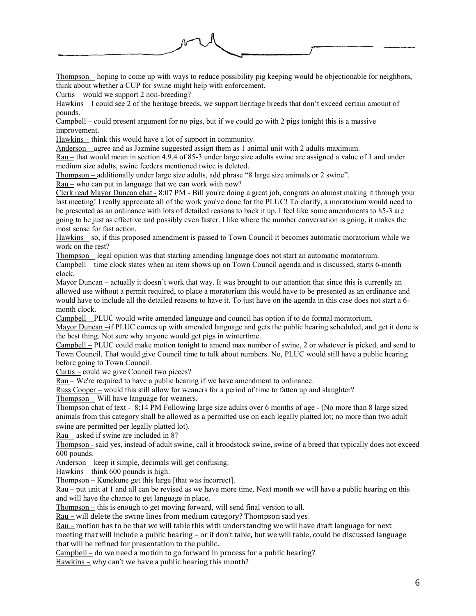

Thompson – hoping to come up with ways to reduce possibility pig keeping would be objectionable for neighbors, think about whether a CUP for swine might help with enforcement.

Curtis – would we support 2 non-breeding?

Hawkins – I could see 2 of the heritage breeds, we support heritage breeds that don't exceed certain amount of pounds.

Campbell – could present argument for no pigs, but if we could go with 2 pigs tonight this is a massive improvement.

Hawkins – think this would have a lot of support in community.

Anderson – agree and as Jazmine suggested assign them as 1 animal unit with 2 adults maximum.

Rau – that would mean in section 4.9.4 of 85-3 under large size adults swine are assigned a value of 1 and under medium size adults, swine feeders mentioned twice is deleted.

Thompson – additionally under large size adults, add phrase "8 large size animals or 2 swine".

Rau – who can put in language that we can work with now?

Clerk read Mayor Duncan chat - 8:07 PM - Bill you're doing a great job, congrats on almost making it through your last meeting! I really appreciate all of the work you've done for the PLUC! To clarify, a moratorium would need to be presented as an ordinance with lots of detailed reasons to back it up. I feel like some amendments to 85-3 are going to be just as effective and possibly even faster. I like where the number conversation is going, it makes the most sense for fast action.

Hawkins – so, if this proposed amendment is passed to Town Council it becomes automatic moratorium while we work on the rest?

Thompson – legal opinion was that starting amending language does not start an automatic moratorium.

Campbell – time clock states when an item shows up on Town Council agenda and is discussed, starts 6-month clock.

Mayor Duncan – actually it doesn't work that way. It was brought to our attention that since this is currently an allowed use without a permit required, to place a moratorium this would have to be presented as an ordinance and would have to include all the detailed reasons to have it. To just have on the agenda in this case does not start a 6 month clock.

Campbell – PLUC would write amended language and council has option if to do formal moratorium.

Mayor Duncan –if PLUC comes up with amended language and gets the public hearing scheduled, and get it done is the best thing. Not sure why anyone would get pigs in wintertime.

Campbell – PLUC could make motion tonight to amend max number of swine, 2 or whatever is picked, and send to Town Council. That would give Council time to talk about numbers. No, PLUC would still have a public hearing before going to Town Council.

Curtis – could we give Council two pieces?

Rau – We're required to have a public hearing if we have amendment to ordinance.

 $\overline{\text{Russ Cooper}}$  – would this still allow for weaners for a period of time to fatten up and slaughter?

Thompson – Will have language for weaners.

Thompson chat of text - 8:14 PM Following large size adults over 6 months of age - (No more than 8 large sized animals from this category shall be allowed as a permitted use on each legally platted lot; no more than two adult swine are permitted per legally platted lot).

Rau – asked if swine are included in 8?

Thompson - said yes, instead of adult swine, call it broodstock swine, swine of a breed that typically does not exceed 600 pounds.

Anderson – keep it simple, decimals will get confusing.

 $Hawkins - think 600 pounds is high.$ 

Thompson – Kunekune get this large [that was incorrect].

Rau – put unit at 1 and all can be revised as we have more time. Next month we will have a public hearing on this and will have the chance to get language in place.

Thompson – this is enough to get moving forward, will send final version to all.

Rau – will delete the swine lines from medium category? Thompson said yes.

Rau – motion has to be that we will table this with understanding we will have draft language for next meeting that will include a public hearing – or if don't table, but we will table, could be discussed language that will be refined for presentation to the public.

Campbell – do we need a motion to go forward in process for a public hearing?

Hawkins – why can't we have a public hearing this month?